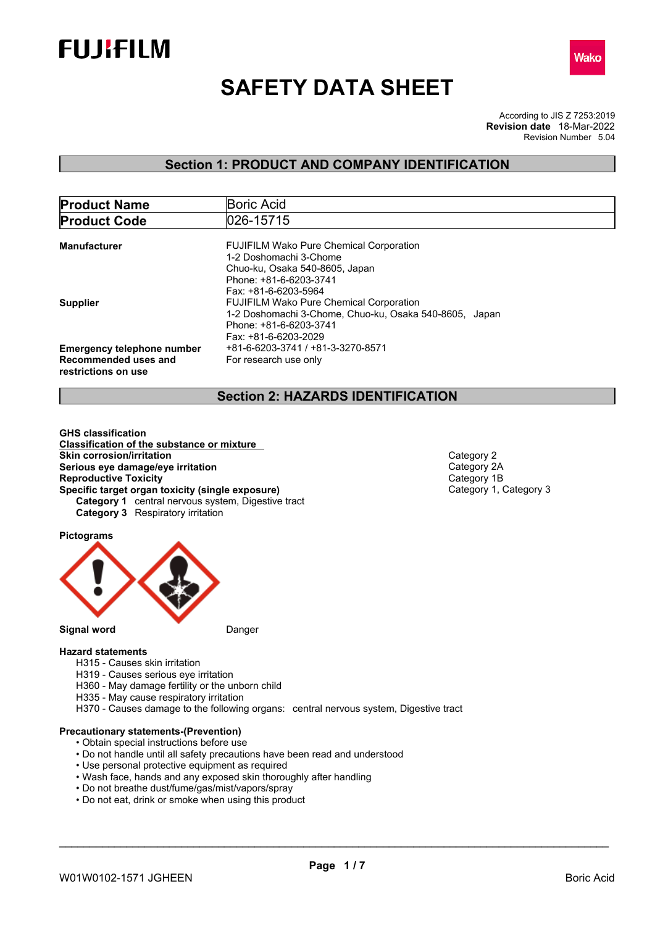



# **SAFETY DATA SHEET**

According to JIS Z 7253:2019 Revision Number 5.04 **Revision date** 18-Mar-2022

### **Section 1: PRODUCT AND COMPANY IDENTIFICATION**

| <b>Product Name</b>               | Boric Acid                                             |
|-----------------------------------|--------------------------------------------------------|
| <b>Product Code</b>               | 026-15715                                              |
|                                   |                                                        |
| <b>Manufacturer</b>               | <b>FUJIFILM Wako Pure Chemical Corporation</b>         |
|                                   | 1-2 Doshomachi 3-Chome                                 |
|                                   | Chuo-ku, Osaka 540-8605, Japan                         |
|                                   | Phone: +81-6-6203-3741                                 |
|                                   | Fax: +81-6-6203-5964                                   |
| <b>Supplier</b>                   | <b>FUJIFILM Wako Pure Chemical Corporation</b>         |
|                                   | 1-2 Doshomachi 3-Chome, Chuo-ku, Osaka 540-8605, Japan |
|                                   | Phone: +81-6-6203-3741                                 |
|                                   | Fax: +81-6-6203-2029                                   |
| <b>Emergency telephone number</b> | +81-6-6203-3741 / +81-3-3270-8571                      |
| Recommended uses and              | For research use only                                  |
| restrictions on use               |                                                        |

### **Section 2: HAZARDS IDENTIFICATION**

**GHS classification Classification of the substance or mixture Skin corrosion/irritation**<br> **Serious eve damage/eve irritation**<br>
Category 2A **Serious eye damage/eye irritation**<br> **Reproductive Toxicity**<br> **Reproductive Toxicity Reproductive Toxicity**<br> **Specific target organ toxicity (single exposure)**<br>
Category 1, Category 3 **Specific target organ toxicity (single exposure) Category 1** central nervous system, Digestive tract **Category 3** Respiratory irritation

**Pictograms**



### **Hazard statements**

- H315 Causes skin irritation
- H319 Causes serious eye irritation
- H360 May damage fertility or the unborn child
- H335 May cause respiratory irritation
- H370 Causes damage to the following organs: central nervous system, Digestive tract

### **Precautionary statements-(Prevention)**

- Obtain special instructions before use
- Do not handle until all safety precautions have been read and understood
- Use personal protective equipment as required
- Wash face, hands and any exposed skin thoroughly after handling
- Do not breathe dust/fume/gas/mist/vapors/spray
- Do not eat, drink or smoke when using this product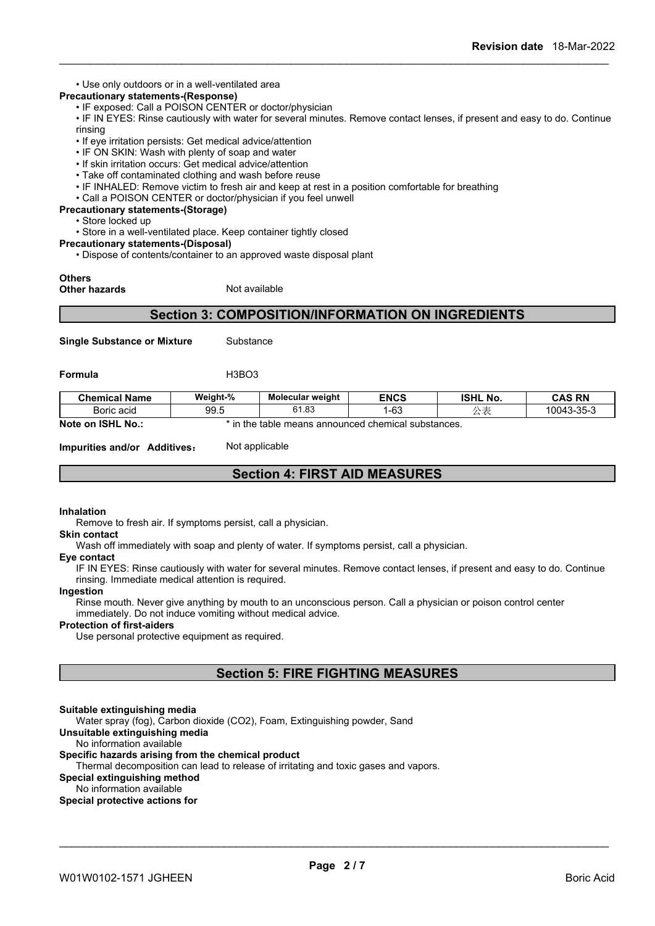• Use only outdoors or in a well-ventilated area

### **Precautionary statements-(Response)**

• IF exposed: Call a POISON CENTER or doctor/physician

• IF IN EYES: Rinse cautiously with water for several minutes. Remove contact lenses, if present and easy to do. Continue rinsing

- If eye irritation persists: Get medical advice/attention
- IF ON SKIN: Wash with plenty of soap and water
- If skin irritation occurs: Get medical advice/attention
- Take off contaminated clothing and wash before reuse
- IF INHALED: Remove victim to fresh air and keep at rest in a position comfortable for breathing
- Call a POISON CENTER or doctor/physician if you feel unwell
- **Precautionary statements-(Storage)**

• Store locked up

• Store in a well-ventilated place. Keep container tightly closed

**Precautionary statements-(Disposal)**

• Dispose of contents/container to an approved waste disposal plant

### **Others**

**Other hazards** Not available

### **Section 3: COMPOSITION/INFORMATION ON INGREDIENTS**

**Single Substance or Mixture** Substance

**Formula** H3BO3

| <b>Chemical Name</b>          | Weight-% | <b>Molecular weight</b>  | <b>ENCS</b>            | <b>ISHL No.</b> | <b>CAS RN</b> |
|-------------------------------|----------|--------------------------|------------------------|-----------------|---------------|
| Boric acid                    | 99.5     | 61.83                    | G2<br>' −ט-            | ิ้              | 10043-35-3    |
| Note on<br><b>ISHL</b><br>No. | ı the    | means announced<br>table | l chemical substances. |                 |               |

**Impurities and/or Additives:** Not applicable

### **Section 4: FIRST AID MEASURES**

### **Inhalation**

Remove to fresh air. If symptoms persist, call a physician.

### **Skin contact**

Wash off immediately with soap and plenty of water. If symptoms persist, call a physician.

### **Eye contact**

IF IN EYES: Rinse cautiously with water for several minutes. Remove contact lenses, if present and easy to do. Continue rinsing. Immediate medical attention is required.

#### **Ingestion**

Rinse mouth. Never give anything by mouth to an unconscious person. Call a physician or poison control center immediately. Do not induce vomiting without medical advice.

#### **Protection of first-aiders**

Use personal protective equipment as required.

### **Section 5: FIRE FIGHTING MEASURES**

#### **Suitable extinguishing media**

Water spray (fog), Carbon dioxide (CO2), Foam, Extinguishing powder, Sand

**Unsuitable extinguishing media** No information available

# **Specific hazards arising from the chemical product**

Thermal decomposition can lead to release of irritating and toxic gases and vapors.

### **Special extinguishing method**

#### No information available

**Special protective actions for**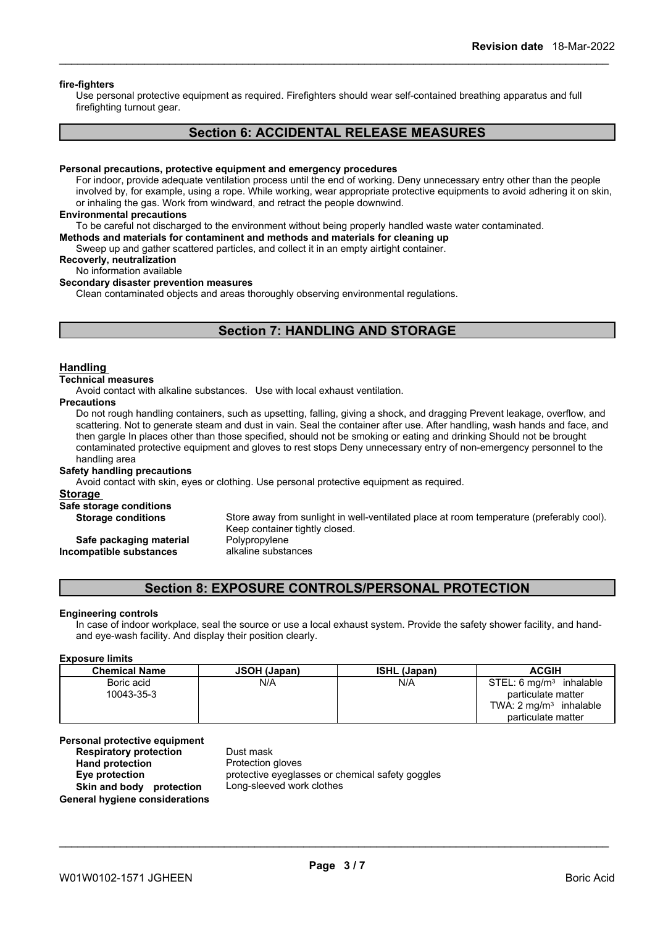### **fire-fighters**

Use personal protective equipment as required.Firefighters should wear self-contained breathing apparatus and full firefighting turnout gear.

### **Section 6: ACCIDENTAL RELEASE MEASURES**

#### **Personal precautions, protective equipment and emergency procedures**

For indoor, provide adequate ventilation process until the end of working. Deny unnecessary entry other than the people involved by, for example, using a rope. While working, wear appropriate protective equipments to avoid adhering it on skin, or inhaling the gas. Work from windward, and retract the people downwind.

#### **Environmental precautions**

To be careful not discharged to the environment without being properly handled waste water contaminated.

#### **Methods and materials for contaminent and methods and materials for cleaning up**

Sweep up and gather scattered particles, and collect it in an empty airtight container.

### **Recoverly, neutralization**

No information available

### **Secondary disaster prevention measures**

Clean contaminated objects and areas thoroughly observing environmental regulations.

### **Section 7: HANDLING AND STORAGE**

#### **Handling**

#### **Technical measures**

Avoid contact with alkaline substances. Use with local exhaust ventilation.

#### **Precautions**

Do not rough handling containers, such as upsetting, falling, giving a shock, and dragging Prevent leakage, overflow, and scattering. Not to generate steam and dust in vain. Seal the container after use. After handling, wash hands and face, and then gargle In places other than those specified, should not be smoking or eating and drinking Should not be brought contaminated protective equipment and gloves to rest stops Deny unnecessary entry of non-emergency personnel to the handling area

#### **Safety handling precautions**

Avoid contact with skin, eyes or clothing. Use personal protective equipment as required.

### **Storage**

### **Safe storage conditions**

**Storage conditions** Store away from sunlight in well-ventilated place at room temperature (preferably cool). Keep container tightly closed. **Safe packaging material Polypropylene Incompatible substances** alkaline substances

### **Section 8: EXPOSURE CONTROLS/PERSONAL PROTECTION**

#### **Engineering controls**

In case of indoor workplace, seal the source or use a local exhaust system. Provide the safety shower facility, and handand eye-wash facility. And display their position clearly.

#### **Exposure limits**

| <b>Chemical Name</b> | <b>JSOH (Japan)</b> | <b>ISHL (Japan)</b> | <b>ACGIH</b>                           |
|----------------------|---------------------|---------------------|----------------------------------------|
| Boric acid           | N/A                 | N/A                 | STEL: 6 ma/m <sup>3</sup><br>inhalable |
| 10043-35-3           |                     |                     | particulate matter                     |
|                      |                     |                     | TWA: $2 \text{ mg/m}^3$ inhalable      |
|                      |                     |                     | particulate matter                     |

# **Personal protective equipment**

**Respiratory protection** Dust mask<br> **Hand protection** Protection **Skin and body protection** Long-sleeved work clothes **General hygiene considerations**

**Protection gloves Eye protection** protective eyeglasses or chemical safety goggles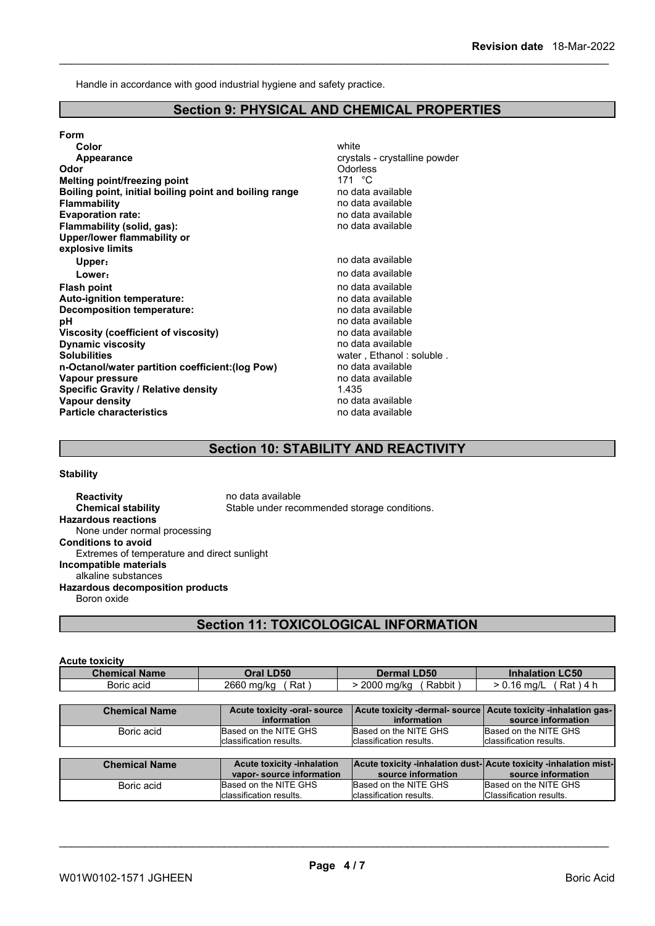Handle in accordance with good industrial hygiene and safety practice.

### **Section 9: PHYSICAL AND CHEMICAL PROPERTIES**

| Form                                                   |                               |
|--------------------------------------------------------|-------------------------------|
| Color                                                  | white                         |
| Appearance                                             | crystals - crystalline powder |
| Odor                                                   | Odorless                      |
| Melting point/freezing point                           | 171 $\degree$ C               |
| Boiling point, initial boiling point and boiling range | no data available             |
| <b>Flammability</b>                                    | no data available             |
| <b>Evaporation rate:</b>                               | no data available             |
| Flammability (solid, gas):                             | no data available             |
| Upper/lower flammability or                            |                               |
| explosive limits                                       |                               |
| Upper:                                                 | no data available             |
| Lower:                                                 | no data available             |
| <b>Flash point</b>                                     | no data available             |
| Auto-ignition temperature:                             | no data available             |
| <b>Decomposition temperature:</b>                      | no data available             |
| рH                                                     | no data available             |
| <b>Viscosity (coefficient of viscosity)</b>            | no data available             |
| <b>Dynamic viscosity</b>                               | no data available             |
| <b>Solubilities</b>                                    | water, Ethanol: soluble.      |
| n-Octanol/water partition coefficient: (log Pow)       | no data available             |
| Vapour pressure                                        | no data available             |
| <b>Specific Gravity / Relative density</b>             | 1.435                         |
| Vapour density                                         | no data available             |
| <b>Particle characteristics</b>                        | no data available             |

### **Section 10: STABILITY AND REACTIVITY**

### **Stability**

**Reactivity no data available Chemical stability** Stable under recommended storage conditions. **Hazardous reactions** None under normal processing **Conditions to avoid** Extremes of temperature and direct sunlight **Incompatible materials** alkaline substances **Hazardous decomposition products** Boron oxide

## **Section 11: TOXICOLOGICAL INFORMATION**

| <b>Acute toxicity</b> |                                                               |                                                                                        |                                                                                      |
|-----------------------|---------------------------------------------------------------|----------------------------------------------------------------------------------------|--------------------------------------------------------------------------------------|
| <b>Chemical Name</b>  | Oral LD50                                                     | <b>Dermal LD50</b>                                                                     | <b>Inhalation LC50</b>                                                               |
| Boric acid            | Rat)<br>2660 mg/kg                                            | Rabbit)<br>> 2000 mg/kg                                                                | $Rat$ ) 4 h<br>$> 0.16$ mg/L                                                         |
|                       |                                                               |                                                                                        |                                                                                      |
| <b>Chemical Name</b>  | Acute toxicity -oral- source<br>information                   | information                                                                            | Acute toxicity -dermal- source Acute toxicity -inhalation gas-<br>source information |
| Boric acid            | Based on the NITE GHS<br>classification results.              | Based on the NITE GHS<br>classification results.                                       | Based on the NITE GHS<br>Iclassification results.                                    |
|                       |                                                               |                                                                                        |                                                                                      |
| <b>Chemical Name</b>  | <b>Acute toxicity -inhalation</b><br>vapor-source information | Acute toxicity -inhalation dust-Acute toxicity -inhalation mist-<br>source information | source information                                                                   |
| Boric acid            | Based on the NITE GHS<br>classification results.              | Based on the NITE GHS<br>classification results.                                       | Based on the NITE GHS<br>Classification results.                                     |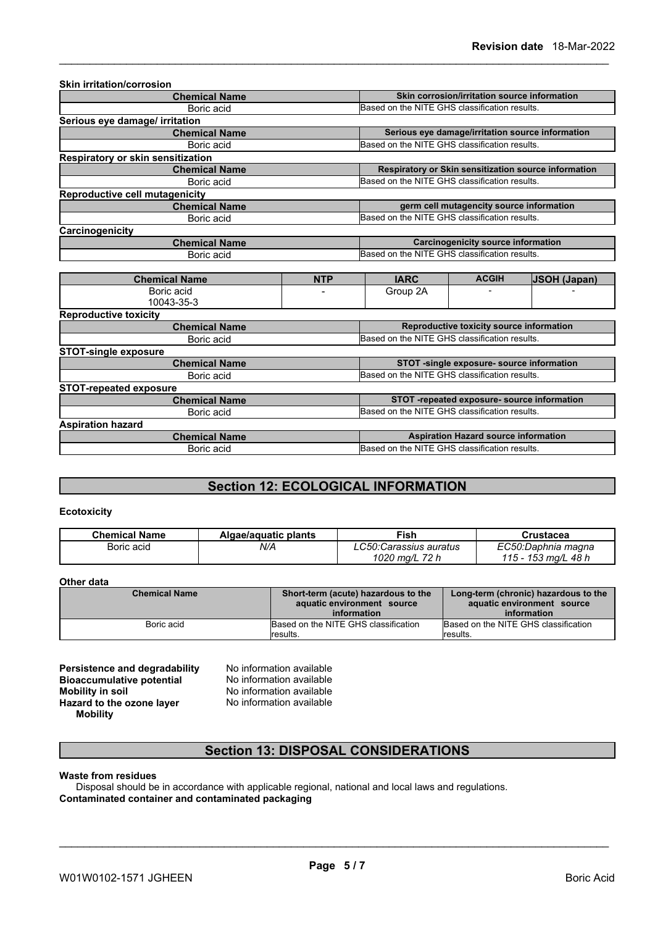| <b>Skin irritation/corrosion</b>      |            |                                               |                                                  |                                                      |  |
|---------------------------------------|------------|-----------------------------------------------|--------------------------------------------------|------------------------------------------------------|--|
| <b>Chemical Name</b>                  |            |                                               | Skin corrosion/irritation source information     |                                                      |  |
| Boric acid                            |            | Based on the NITE GHS classification results. |                                                  |                                                      |  |
| Serious eye damage/ irritation        |            |                                               |                                                  |                                                      |  |
| <b>Chemical Name</b>                  |            |                                               | Serious eye damage/irritation source information |                                                      |  |
| Boric acid                            |            | Based on the NITE GHS classification results. |                                                  |                                                      |  |
| Respiratory or skin sensitization     |            |                                               |                                                  |                                                      |  |
| <b>Chemical Name</b>                  |            |                                               |                                                  | Respiratory or Skin sensitization source information |  |
| Boric acid                            |            | Based on the NITE GHS classification results. |                                                  |                                                      |  |
| <b>Reproductive cell mutagenicity</b> |            |                                               |                                                  |                                                      |  |
| <b>Chemical Name</b>                  |            |                                               | germ cell mutagencity source information         |                                                      |  |
| Boric acid                            |            |                                               | Based on the NITE GHS classification results.    |                                                      |  |
| Carcinogenicity                       |            |                                               |                                                  |                                                      |  |
| <b>Chemical Name</b>                  |            |                                               | Carcinogenicity source information               |                                                      |  |
| Boric acid                            |            | Based on the NITE GHS classification results. |                                                  |                                                      |  |
|                                       |            |                                               |                                                  |                                                      |  |
| <b>Chemical Name</b>                  | <b>NTP</b> | <b>IARC</b>                                   | <b>ACGIH</b>                                     | <b>JSOH (Japan)</b>                                  |  |
| Boric acid<br>10043-35-3              |            | Group 2A                                      | $\overline{\phantom{a}}$                         |                                                      |  |
|                                       |            |                                               |                                                  |                                                      |  |

| <b>Reproductive toxicity</b>  |                                               |  |
|-------------------------------|-----------------------------------------------|--|
| <b>Chemical Name</b>          | Reproductive toxicity source information      |  |
| Boric acid                    | Based on the NITE GHS classification results. |  |
| <b>STOT-single exposure</b>   |                                               |  |
| <b>Chemical Name</b>          | STOT -single exposure- source information     |  |
| Boric acid                    | Based on the NITE GHS classification results. |  |
| <b>STOT-repeated exposure</b> |                                               |  |
| <b>Chemical Name</b>          | STOT -repeated exposure- source information   |  |
| Boric acid                    | Based on the NITE GHS classification results. |  |
| <b>Aspiration hazard</b>      |                                               |  |
| <b>Chemical Name</b>          | <b>Aspiration Hazard source information</b>   |  |
| Boric acid                    | Based on the NITE GHS classification results. |  |
|                               |                                               |  |

# **Section 12: ECOLOGICAL INFORMATION**

### **Ecotoxicity**

| <b>Chemical Name</b> | Algae/aguatic plants | Fish                                | Crustacea               |
|----------------------|----------------------|-------------------------------------|-------------------------|
| Boric acid           | N/A                  | $C$ 50. $C$<br>50:Carassius auratus | EC50:Daphnia magna      |
|                      |                      | 72 h<br>1020 ma/L                   | 48 h<br>153 ma/L<br>ィィベ |

### **Other data**

| <b>Chemical Name</b> | Short-term (acute) hazardous to the<br>aquatic environment source<br>information | Long-term (chronic) hazardous to the<br>aquatic environment source<br>information |
|----------------------|----------------------------------------------------------------------------------|-----------------------------------------------------------------------------------|
| Boric acid           | Based on the NITE GHS classification<br><i>I</i> results.                        | Based on the NITE GHS classification<br>results.                                  |

**Persistence and degradability** No information available<br>**Bioaccumulative potential** No information available **Bioaccumulative potential<br>Mobility in soil Hazard** to the ozone layer **Mobility**

No information available<br>No information available

### **Section 13: DISPOSAL CONSIDERATIONS**

### **Waste from residues**

Disposal should be in accordance with applicable regional, national and local laws and regulations. **Contaminated container and contaminated packaging**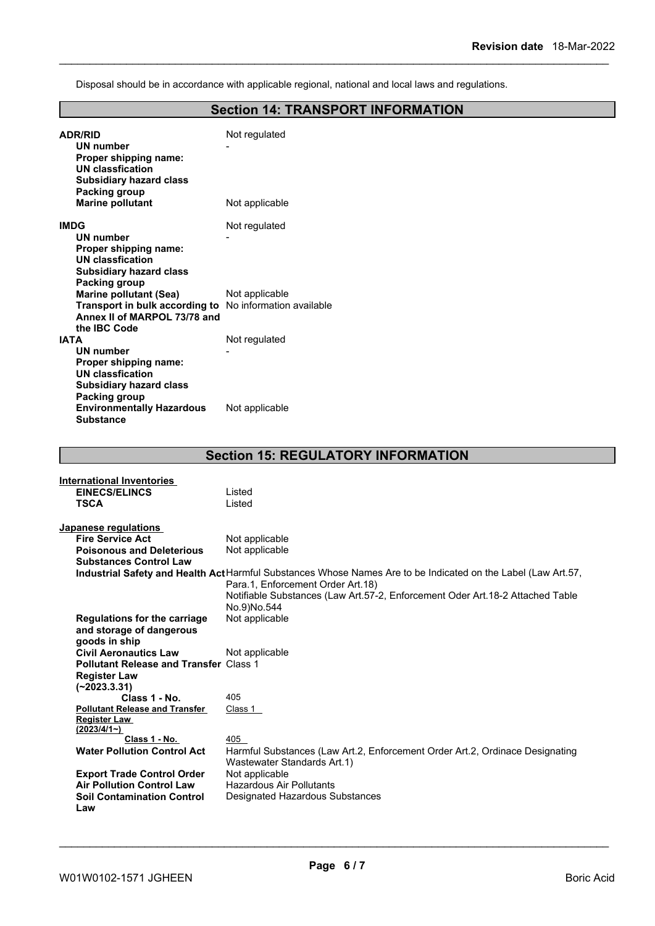Disposal should be in accordance with applicable regional, national and local laws and regulations.

# **Section 14: TRANSPORT INFORMATION**

| <b>ADR/RID</b><br>UN number<br>Proper shipping name:<br><b>UN classfication</b><br><b>Subsidiary hazard class</b><br>Packing group     | Not regulated                                                                                                                     |
|----------------------------------------------------------------------------------------------------------------------------------------|-----------------------------------------------------------------------------------------------------------------------------------|
| <b>Marine pollutant</b>                                                                                                                | Not applicable                                                                                                                    |
| <b>IMDG</b><br><b>UN number</b><br>Proper shipping name:<br><b>UN classfication</b><br><b>Subsidiary hazard class</b><br>Packing group | Not regulated                                                                                                                     |
| <b>Marine pollutant (Sea)</b><br>Transport in bulk according to<br>Annex II of MARPOL 73/78 and<br>the IBC Code                        | Not applicable<br>No information available                                                                                        |
| <b>IATA</b>                                                                                                                            | Not regulated                                                                                                                     |
| <b>UN number</b><br>Proper shipping name:<br><b>UN classfication</b><br><b>Subsidiary hazard class</b><br>Packing group                |                                                                                                                                   |
| <b>Environmentally Hazardous</b><br><b>Substance</b>                                                                                   | Not applicable                                                                                                                    |
|                                                                                                                                        |                                                                                                                                   |
|                                                                                                                                        | <b>Section 15: REGULATORY INFORMATION</b>                                                                                         |
| <b>International Inventories</b>                                                                                                       |                                                                                                                                   |
| <b>EINECS/ELINCS</b><br><b>TSCA</b>                                                                                                    | Listed<br>Listed                                                                                                                  |
|                                                                                                                                        |                                                                                                                                   |
| Japanese regulations                                                                                                                   |                                                                                                                                   |
| <b>Fire Service Act</b>                                                                                                                | Not applicable                                                                                                                    |
| <b>Poisonous and Deleterious</b>                                                                                                       | Not applicable                                                                                                                    |
| <b>Substances Control Law</b>                                                                                                          | Industrial Safety and Health Act Harmful Substances Whose Names Are to be Indicated on the Label (Law Art.57,                     |
|                                                                                                                                        | Para.1, Enforcement Order Art.18)<br>Notifiable Substances (Law Art.57-2, Enforcement Oder Art.18-2 Attached Table<br>No.9)No.544 |
| <b>Regulations for the carriage</b><br>and storage of dangerous<br>goods in ship                                                       | Not applicable                                                                                                                    |
| <b>Civil Aeronautics Law</b><br><b>Pollutant Release and Transfer Class 1</b><br><b>Register Law</b><br>$(-2023.3.31)$                 | Not applicable                                                                                                                    |
| Class 1 - No.                                                                                                                          | 405                                                                                                                               |
| <b>Pollutant Release and Transfer</b><br><b>Register Law</b><br>(2023/4/1)                                                             | Class 1                                                                                                                           |
| Class 1 - No.<br><b>Water Pollution Control Act</b>                                                                                    | 405<br>Harmful Substances (Law Art.2, Enforcement Order Art.2, Ordinace Designating<br>Wastewater Standards Art.1)                |
| <b>Export Trade Control Order</b>                                                                                                      | Not applicable                                                                                                                    |
| <b>Air Pollution Control Law</b><br><b>Soil Contamination Control</b><br>Law                                                           | Hazardous Air Pollutants<br>Designated Hazardous Substances                                                                       |
|                                                                                                                                        |                                                                                                                                   |